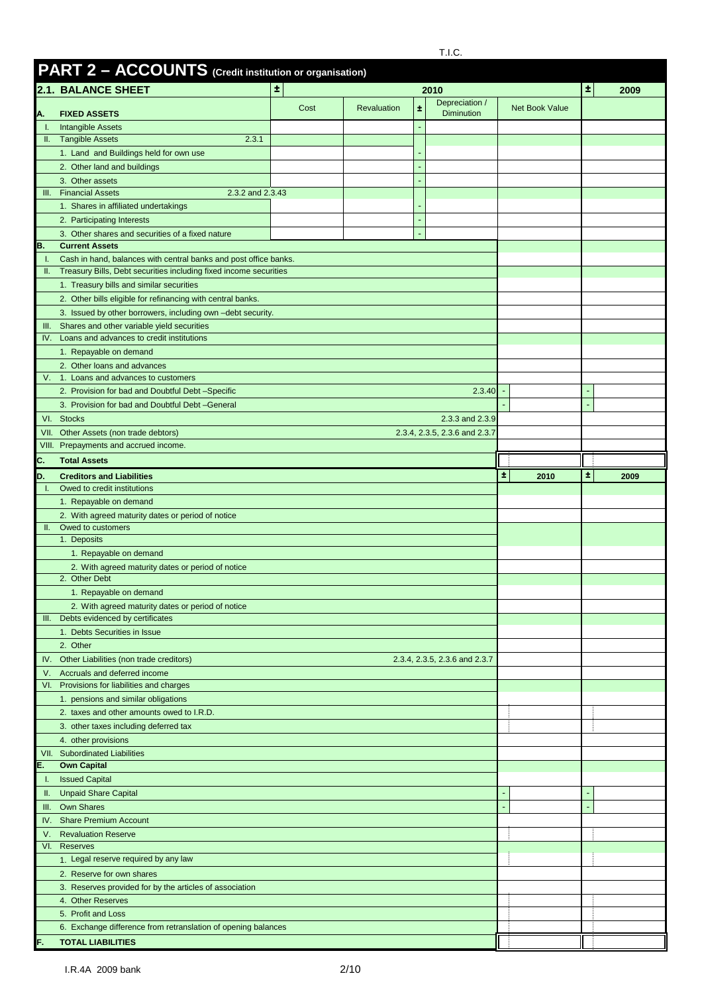|             |                                                                                         | PART 2 - ACCOUNTS (Credit institution or organisation) |                    |   |                                     |                       |    |      |  |  |  |
|-------------|-----------------------------------------------------------------------------------------|--------------------------------------------------------|--------------------|---|-------------------------------------|-----------------------|----|------|--|--|--|
|             | <b>2.1. BALANCE SHEET</b>                                                               | $\pm$                                                  |                    |   | 2010                                |                       | 士  | 2009 |  |  |  |
| Α.          | <b>FIXED ASSETS</b>                                                                     | Cost                                                   | <b>Revaluation</b> | Ŧ | Depreciation /<br><b>Diminution</b> | <b>Net Book Value</b> |    |      |  |  |  |
| Τ.          | <b>Intangible Assets</b>                                                                |                                                        |                    |   |                                     |                       |    |      |  |  |  |
| Ш.          | <b>Tangible Assets</b><br>2.3.1                                                         |                                                        |                    |   |                                     |                       |    |      |  |  |  |
|             | 1. Land and Buildings held for own use                                                  |                                                        |                    |   |                                     |                       |    |      |  |  |  |
|             | 2. Other land and buildings                                                             |                                                        |                    |   |                                     |                       |    |      |  |  |  |
|             | 3. Other assets                                                                         |                                                        |                    |   |                                     |                       |    |      |  |  |  |
| Ш.          | <b>Financial Assets</b><br>2.3.2 and 2.3.43                                             |                                                        |                    |   |                                     |                       |    |      |  |  |  |
|             | 1. Shares in affiliated undertakings                                                    |                                                        |                    |   |                                     |                       |    |      |  |  |  |
|             | 2. Participating Interests<br>3. Other shares and securities of a fixed nature          |                                                        |                    |   |                                     |                       |    |      |  |  |  |
| В.          | <b>Current Assets</b>                                                                   |                                                        |                    |   |                                     |                       |    |      |  |  |  |
|             | Cash in hand, balances with central banks and post office banks.                        |                                                        |                    |   |                                     |                       |    |      |  |  |  |
| Ш.          | Treasury Bills, Debt securities including fixed income securities                       |                                                        |                    |   |                                     |                       |    |      |  |  |  |
|             | 1. Treasury bills and similar securities                                                |                                                        |                    |   |                                     |                       |    |      |  |  |  |
|             | 2. Other bills eligible for refinancing with central banks.                             |                                                        |                    |   |                                     |                       |    |      |  |  |  |
|             | 3. Issued by other borrowers, including own -debt security.                             |                                                        |                    |   |                                     |                       |    |      |  |  |  |
| III.<br>IV. | Shares and other variable yield securities<br>Loans and advances to credit institutions |                                                        |                    |   |                                     |                       |    |      |  |  |  |
|             | 1. Repayable on demand                                                                  |                                                        |                    |   |                                     |                       |    |      |  |  |  |
|             | 2. Other loans and advances                                                             |                                                        |                    |   |                                     |                       |    |      |  |  |  |
| V.          | 1. Loans and advances to customers                                                      |                                                        |                    |   |                                     |                       |    |      |  |  |  |
|             | 2. Provision for bad and Doubtful Debt-Specific                                         |                                                        |                    |   | 2.3.40                              |                       |    |      |  |  |  |
|             | 3. Provision for bad and Doubtful Debt -General                                         |                                                        |                    |   |                                     |                       |    |      |  |  |  |
|             | VI. Stocks                                                                              |                                                        |                    |   | 2.3.3 and 2.3.9                     |                       |    |      |  |  |  |
| VII.        | Other Assets (non trade debtors)                                                        |                                                        |                    |   | 2.3.4, 2.3.5, 2.3.6 and 2.3.7       |                       |    |      |  |  |  |
|             | VIII. Prepayments and accrued income.                                                   |                                                        |                    |   |                                     |                       |    |      |  |  |  |
| C.          | <b>Total Assets</b>                                                                     |                                                        |                    |   |                                     |                       |    |      |  |  |  |
| D.          | <b>Creditors and Liabilities</b>                                                        |                                                        |                    |   |                                     | ٠.<br>2010            | ÷. | 2009 |  |  |  |
| Τ.          | Owed to credit institutions                                                             |                                                        |                    |   |                                     |                       |    |      |  |  |  |
|             | 1. Repayable on demand<br>2. With agreed maturity dates or period of notice             |                                                        |                    |   |                                     |                       |    |      |  |  |  |
| II.         | Owed to customers                                                                       |                                                        |                    |   |                                     |                       |    |      |  |  |  |
|             | 1. Deposits                                                                             |                                                        |                    |   |                                     |                       |    |      |  |  |  |
|             | 1. Repayable on demand                                                                  |                                                        |                    |   |                                     |                       |    |      |  |  |  |
|             |                                                                                         |                                                        |                    |   |                                     |                       |    |      |  |  |  |
|             | 2. With agreed maturity dates or period of notice                                       |                                                        |                    |   |                                     |                       |    |      |  |  |  |
|             | 2. Other Debt                                                                           |                                                        |                    |   |                                     |                       |    |      |  |  |  |
|             | 1. Repayable on demand                                                                  |                                                        |                    |   |                                     |                       |    |      |  |  |  |
|             | 2. With agreed maturity dates or period of notice                                       |                                                        |                    |   |                                     |                       |    |      |  |  |  |
| III. .      | Debts evidenced by certificates                                                         |                                                        |                    |   |                                     |                       |    |      |  |  |  |
|             | 1. Debts Securities in Issue<br>2. Other                                                |                                                        |                    |   |                                     |                       |    |      |  |  |  |
|             | IV. Other Liabilities (non trade creditors)                                             |                                                        |                    |   | 2.3.4, 2.3.5, 2.3.6 and 2.3.7       |                       |    |      |  |  |  |
| V.          | Accruals and deferred income                                                            |                                                        |                    |   |                                     |                       |    |      |  |  |  |
| VI.         | Provisions for liabilities and charges                                                  |                                                        |                    |   |                                     |                       |    |      |  |  |  |
|             | 1. pensions and similar obligations                                                     |                                                        |                    |   |                                     |                       |    |      |  |  |  |
|             | 2. taxes and other amounts owed to I.R.D.                                               |                                                        |                    |   |                                     |                       |    |      |  |  |  |
|             | 3. other taxes including deferred tax                                                   |                                                        |                    |   |                                     |                       |    |      |  |  |  |
|             | 4. other provisions                                                                     |                                                        |                    |   |                                     |                       |    |      |  |  |  |
|             | VII. Subordinated Liabilities                                                           |                                                        |                    |   |                                     |                       |    |      |  |  |  |
| Е.<br>Т.    | <b>Own Capital</b><br><b>Issued Capital</b>                                             |                                                        |                    |   |                                     |                       |    |      |  |  |  |
| Ш.          | <b>Unpaid Share Capital</b>                                                             |                                                        |                    |   |                                     |                       |    |      |  |  |  |
| Ш.          | Own Shares                                                                              |                                                        |                    |   |                                     |                       |    |      |  |  |  |
| IV.         | <b>Share Premium Account</b>                                                            |                                                        |                    |   |                                     |                       |    |      |  |  |  |
| V.          | <b>Revaluation Reserve</b>                                                              |                                                        |                    |   |                                     |                       |    |      |  |  |  |
| VI.         | <b>Reserves</b>                                                                         |                                                        |                    |   |                                     |                       |    |      |  |  |  |
|             | 1. Legal reserve required by any law                                                    |                                                        |                    |   |                                     |                       |    |      |  |  |  |
|             | 2. Reserve for own shares                                                               |                                                        |                    |   |                                     |                       |    |      |  |  |  |
|             | 3. Reserves provided for by the articles of association                                 |                                                        |                    |   |                                     |                       |    |      |  |  |  |
|             | 4. Other Reserves                                                                       |                                                        |                    |   |                                     |                       |    |      |  |  |  |
|             | 5. Profit and Loss<br>6. Exchange difference from retranslation of opening balances     |                                                        |                    |   |                                     |                       |    |      |  |  |  |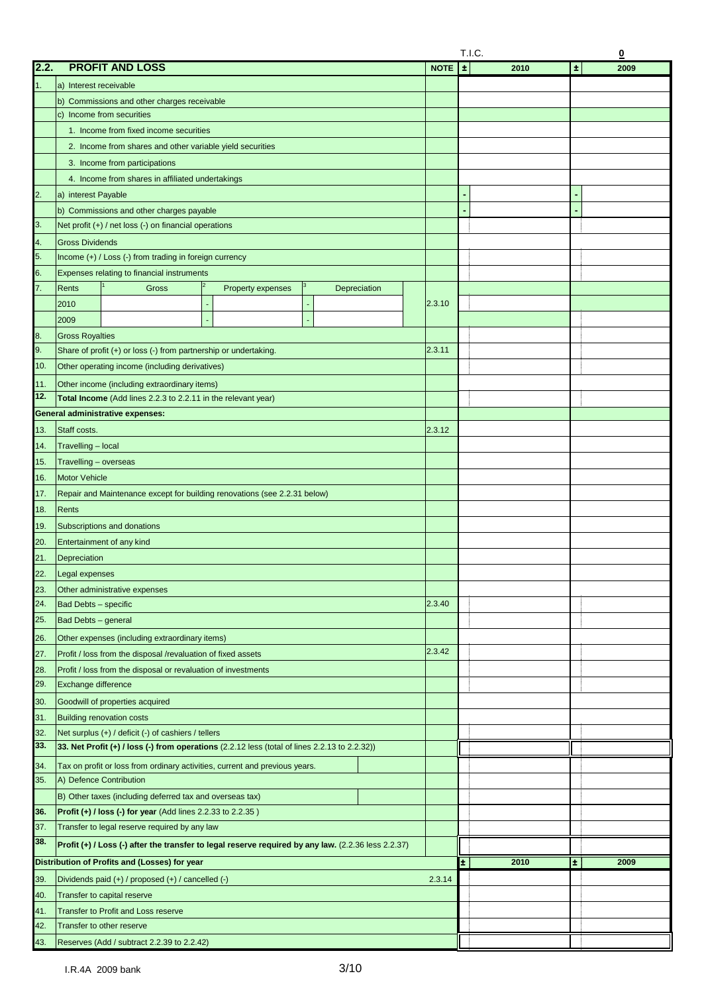|            |                                                                                                               |             | T.I.C.<br>$\overline{\mathbf{0}}$ |               |  |  |  |
|------------|---------------------------------------------------------------------------------------------------------------|-------------|-----------------------------------|---------------|--|--|--|
| 2.2.       | <b>PROFIT AND LOSS</b>                                                                                        | <b>NOTE</b> | $\pm$<br>2010                     | $\pm$<br>2009 |  |  |  |
| 1.         | a) Interest receivable                                                                                        |             |                                   |               |  |  |  |
|            | b) Commissions and other charges receivable                                                                   |             |                                   |               |  |  |  |
|            | c) Income from securities                                                                                     |             |                                   |               |  |  |  |
|            | 1. Income from fixed income securities                                                                        |             |                                   |               |  |  |  |
|            | 2. Income from shares and other variable yield securities                                                     |             |                                   |               |  |  |  |
|            | 3. Income from participations                                                                                 |             |                                   |               |  |  |  |
|            |                                                                                                               |             |                                   |               |  |  |  |
|            | 4. Income from shares in affiliated undertakings                                                              |             |                                   |               |  |  |  |
| 2.         | a) interest Payable                                                                                           |             |                                   |               |  |  |  |
|            | b) Commissions and other charges payable                                                                      |             |                                   |               |  |  |  |
| 3.         | Net profit $(+)$ / net loss $(-)$ on financial operations                                                     |             |                                   |               |  |  |  |
| 4.         | <b>Gross Dividends</b>                                                                                        |             |                                   |               |  |  |  |
| 5.         | Income (+) / Loss (-) from trading in foreign currency                                                        |             |                                   |               |  |  |  |
| 6.         | Expenses relating to financial instruments                                                                    |             |                                   |               |  |  |  |
| 7.         | Rents<br>Gross<br>Property expenses<br>Depreciation                                                           |             |                                   |               |  |  |  |
|            | 2010                                                                                                          | 2.3.10      |                                   |               |  |  |  |
|            | 2009                                                                                                          |             |                                   |               |  |  |  |
| 8.         | <b>Gross Royalties</b>                                                                                        |             |                                   |               |  |  |  |
| 9.         | Share of profit (+) or loss (-) from partnership or undertaking.                                              | 2.3.11      |                                   |               |  |  |  |
| 10.        | Other operating income (including derivatives)                                                                |             |                                   |               |  |  |  |
|            |                                                                                                               |             |                                   |               |  |  |  |
| 11.<br>12. | Other income (including extraordinary items)<br>Total Income (Add lines 2.2.3 to 2.2.11 in the relevant year) |             |                                   |               |  |  |  |
|            |                                                                                                               |             |                                   |               |  |  |  |
|            | <b>General administrative expenses:</b>                                                                       |             |                                   |               |  |  |  |
| 13.        | Staff costs.                                                                                                  | 2.3.12      |                                   |               |  |  |  |
| 14.        | Travelling - local                                                                                            |             |                                   |               |  |  |  |
| 15.        | Travelling - overseas                                                                                         |             |                                   |               |  |  |  |
| 16.        | <b>Motor Vehicle</b>                                                                                          |             |                                   |               |  |  |  |
| 17.        | Repair and Maintenance except for building renovations (see 2.2.31 below)                                     |             |                                   |               |  |  |  |
| 18.        | Rents                                                                                                         |             |                                   |               |  |  |  |
| 19.        | Subscriptions and donations                                                                                   |             |                                   |               |  |  |  |
| 20.        | Entertainment of any kind                                                                                     |             |                                   |               |  |  |  |
| 21.        | Depreciation                                                                                                  |             |                                   |               |  |  |  |
| 22.        | Legal expenses                                                                                                |             |                                   |               |  |  |  |
|            |                                                                                                               |             |                                   |               |  |  |  |
| 23.<br>24. | Other administrative expenses<br>Bad Debts - specific                                                         | 2.3.40      |                                   |               |  |  |  |
|            |                                                                                                               |             |                                   |               |  |  |  |
| 25.        | Bad Debts - general                                                                                           |             |                                   |               |  |  |  |
| 26.        | Other expenses (including extraordinary items)                                                                |             |                                   |               |  |  |  |
| 27.        | Profit / loss from the disposal /revaluation of fixed assets                                                  | 2.3.42      |                                   |               |  |  |  |
| 28.        | Profit / loss from the disposal or revaluation of investments                                                 |             |                                   |               |  |  |  |
| 29.        | Exchange difference                                                                                           |             |                                   |               |  |  |  |
| 30.        | Goodwill of properties acquired                                                                               |             |                                   |               |  |  |  |
| 31.        | <b>Building renovation costs</b>                                                                              |             |                                   |               |  |  |  |
| 32.        | Net surplus (+) / deficit (-) of cashiers / tellers                                                           |             |                                   |               |  |  |  |
| 33.        | 33. Net Profit (+) / loss (-) from operations (2.2.12 less (total of lines 2.2.13 to 2.2.32))                 |             |                                   |               |  |  |  |
| 34.        | Tax on profit or loss from ordinary activities, current and previous years.                                   |             |                                   |               |  |  |  |
| 35.        | A) Defence Contribution                                                                                       |             |                                   |               |  |  |  |
|            | B) Other taxes (including deferred tax and overseas tax)                                                      |             |                                   |               |  |  |  |
|            |                                                                                                               |             |                                   |               |  |  |  |
| 36.        | <b>Profit (+) / loss (-) for year</b> (Add lines $2.2.33$ to $2.2.35$ )                                       |             |                                   |               |  |  |  |
| 37.        | Transfer to legal reserve required by any law                                                                 |             |                                   |               |  |  |  |
| 38.        | Profit (+) / Loss (-) after the transfer to legal reserve required by any law. (2.2.36 less 2.2.37)           |             |                                   |               |  |  |  |
|            | Distribution of Profits and (Losses) for year                                                                 |             | Ŧ.<br>2010                        | Ŧ.<br>2009    |  |  |  |
| 39.        | Dividends paid (+) / proposed (+) / cancelled (-)                                                             | 2.3.14      |                                   |               |  |  |  |
| 40.        | Transfer to capital reserve                                                                                   |             |                                   |               |  |  |  |
| 41.        | <b>Transfer to Profit and Loss reserve</b>                                                                    |             |                                   |               |  |  |  |
| 42.        | Transfer to other reserve                                                                                     |             |                                   |               |  |  |  |
| 43.        | Reserves (Add / subtract 2.2.39 to 2.2.42)                                                                    |             |                                   |               |  |  |  |
|            |                                                                                                               |             |                                   |               |  |  |  |